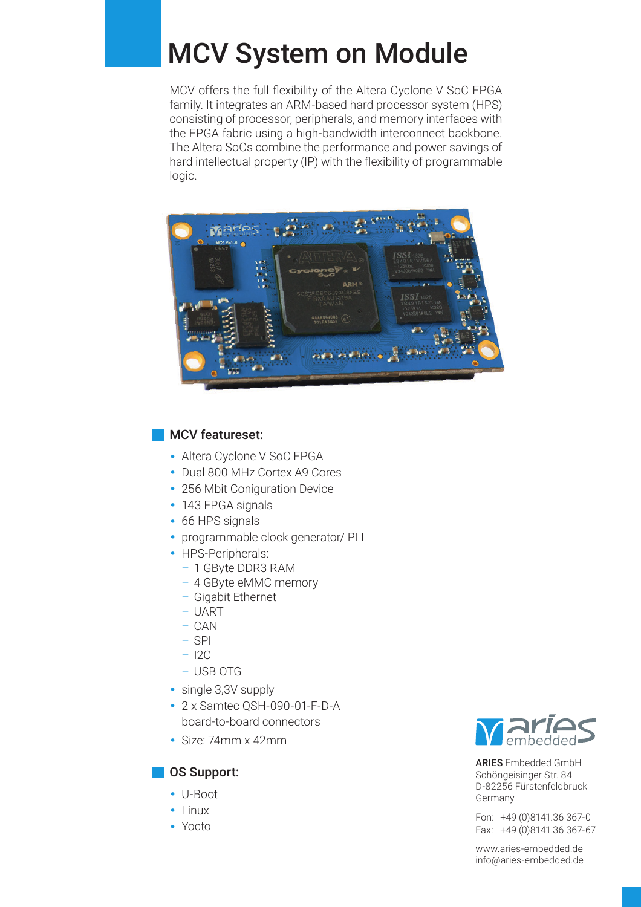# MCV System on Module

MCV offers the full flexibility of the Altera Cyclone V SoC FPGA family. It integrates an ARM-based hard processor system (HPS) consisting of processor, peripherals, and memory interfaces with the FPGA fabric using a high-bandwidth interconnect backbone. The Altera SoCs combine the performance and power savings of hard intellectual property (IP) with the flexibility of programmable logic.



### MCV featureset:

- **·** Altera Cyclone V SoC FPGA
- **·** Dual 800 MHz Cortex A9 Cores
- **·** 256 Mbit Coniguration Device
- **·** 143 FPGA signals
- **·** 66 HPS signals
- **·** programmable clock generator/ PLL
- **·** HPS-Peripherals:
	- 1 GByte DDR3 RAM
	- 4 GByte eMMC memory
	- Gigabit Ethernet
	- UART
	- CAN
	- SPI
	- I2C
	- USB OTG
- **·** single 3,3V supply
- **·** 2 x Samtec QSH-090-01-F-D-A board-to-board connectors
- **·** Size: 74mm x 42mm

#### **OS Support:**

- **·** U-Boot
- **·** Linux
- **·** Yocto



ARIES Embedded GmbH Schöngeisinger Str. 84 D-82256 Fürstenfeldbruck Germany

Fon: +49 (0)8141.36 367-0 Fax: +49 (0)8141.36 367-67

www.aries-embedded.de info@aries-embedded.de